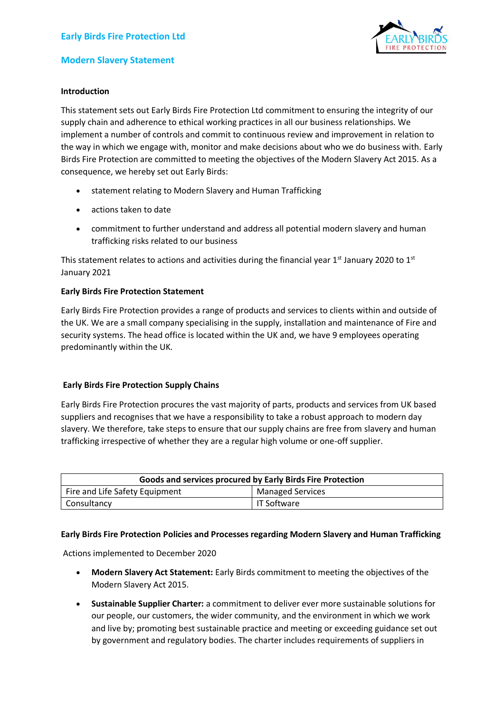

# **Modern Slavery Statement**

## **Introduction**

This statement sets out Early Birds Fire Protection Ltd commitment to ensuring the integrity of our supply chain and adherence to ethical working practices in all our business relationships. We implement a number of controls and commit to continuous review and improvement in relation to the way in which we engage with, monitor and make decisions about who we do business with. Early Birds Fire Protection are committed to meeting the objectives of the Modern Slavery Act 2015. As a consequence, we hereby set out Early Birds:

- statement relating to Modern Slavery and Human Trafficking
- actions taken to date
- commitment to further understand and address all potential modern slavery and human trafficking risks related to our business

This statement relates to actions and activities during the financial year  $1<sup>st</sup>$  January 2020 to  $1<sup>st</sup>$ January 2021

## **Early Birds Fire Protection Statement**

Early Birds Fire Protection provides a range of products and services to clients within and outside of the UK. We are a small company specialising in the supply, installation and maintenance of Fire and security systems. The head office is located within the UK and, we have 9 employees operating predominantly within the UK.

# **Early Birds Fire Protection Supply Chains**

Early Birds Fire Protection procures the vast majority of parts, products and services from UK based suppliers and recognises that we have a responsibility to take a robust approach to modern day slavery. We therefore, take steps to ensure that our supply chains are free from slavery and human trafficking irrespective of whether they are a regular high volume or one-off supplier.

| Goods and services procured by Early Birds Fire Protection |                         |  |
|------------------------------------------------------------|-------------------------|--|
| Fire and Life Safety Equipment                             | <b>Managed Services</b> |  |
| Consultancy                                                | l IT Software           |  |

#### **Early Birds Fire Protection Policies and Processes regarding Modern Slavery and Human Trafficking**

Actions implemented to December 2020

- **Modern Slavery Act Statement:** Early Birds commitment to meeting the objectives of the Modern Slavery Act 2015.
- **Sustainable Supplier Charter:** a commitment to deliver ever more sustainable solutions for our people, our customers, the wider community, and the environment in which we work and live by; promoting best sustainable practice and meeting or exceeding guidance set out by government and regulatory bodies. The charter includes requirements of suppliers in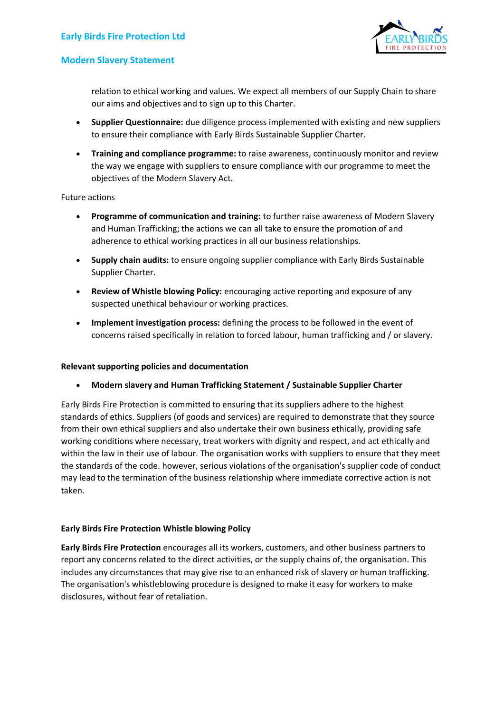

## **Modern Slavery Statement**

relation to ethical working and values. We expect all members of our Supply Chain to share our aims and objectives and to sign up to this Charter.

- **Supplier Questionnaire:** due diligence process implemented with existing and new suppliers to ensure their compliance with Early Birds Sustainable Supplier Charter.
- **Training and compliance programme:** to raise awareness, continuously monitor and review the way we engage with suppliers to ensure compliance with our programme to meet the objectives of the Modern Slavery Act.

Future actions

- **Programme of communication and training:** to further raise awareness of Modern Slavery and Human Trafficking; the actions we can all take to ensure the promotion of and adherence to ethical working practices in all our business relationships.
- **Supply chain audits:** to ensure ongoing supplier compliance with Early Birds Sustainable Supplier Charter.
- **Review of Whistle blowing Policy:** encouraging active reporting and exposure of any suspected unethical behaviour or working practices.
- **Implement investigation process:** defining the process to be followed in the event of concerns raised specifically in relation to forced labour, human trafficking and / or slavery.

#### **Relevant supporting policies and documentation**

• **Modern slavery and Human Trafficking Statement / Sustainable Supplier Charter**

Early Birds Fire Protection is committed to ensuring that its suppliers adhere to the highest standards of ethics. Suppliers (of goods and services) are required to demonstrate that they source from their own ethical suppliers and also undertake their own business ethically, providing safe working conditions where necessary, treat workers with dignity and respect, and act ethically and within the law in their use of labour. The organisation works with suppliers to ensure that they meet the standards of the code. however, serious violations of the organisation's supplier code of conduct may lead to the termination of the business relationship where immediate corrective action is not taken.

#### **Early Birds Fire Protection Whistle blowing Policy**

**Early Birds Fire Protection** encourages all its workers, customers, and other business partners to report any concerns related to the direct activities, or the supply chains of, the organisation. This includes any circumstances that may give rise to an enhanced risk of slavery or human trafficking. The organisation's whistleblowing procedure is designed to make it easy for workers to make disclosures, without fear of retaliation.